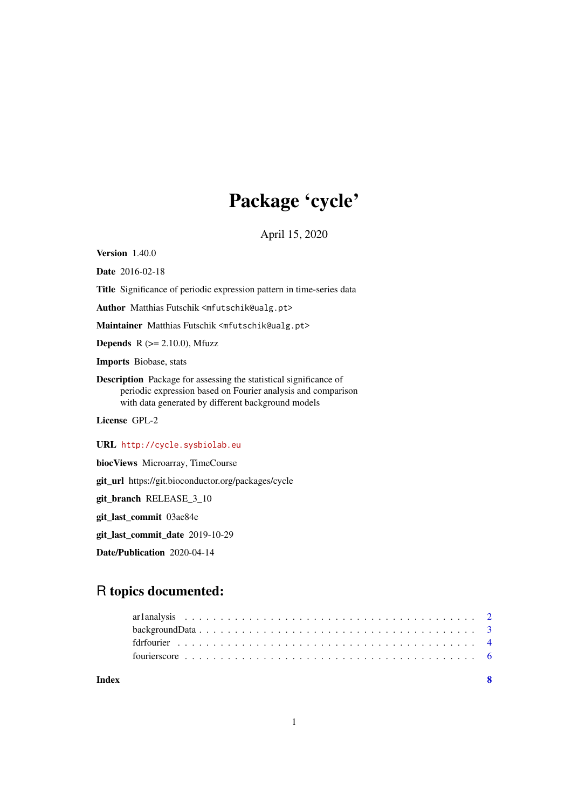## Package 'cycle'

April 15, 2020

<span id="page-0-0"></span>Version 1.40.0

Date 2016-02-18

Title Significance of periodic expression pattern in time-series data

Author Matthias Futschik <mfutschik@ualg.pt>

Maintainer Matthias Futschik <mfutschik@ualg.pt>

**Depends** R  $(>= 2.10.0)$ , Mfuzz

Imports Biobase, stats

Description Package for assessing the statistical significance of periodic expression based on Fourier analysis and comparison with data generated by different background models

License GPL-2

URL <http://cycle.sysbiolab.eu>

biocViews Microarray, TimeCourse

git\_url https://git.bioconductor.org/packages/cycle

git\_branch RELEASE\_3\_10

git\_last\_commit 03ae84e

git\_last\_commit\_date 2019-10-29

Date/Publication 2020-04-14

### R topics documented:

**Index** [8](#page-7-0) **8**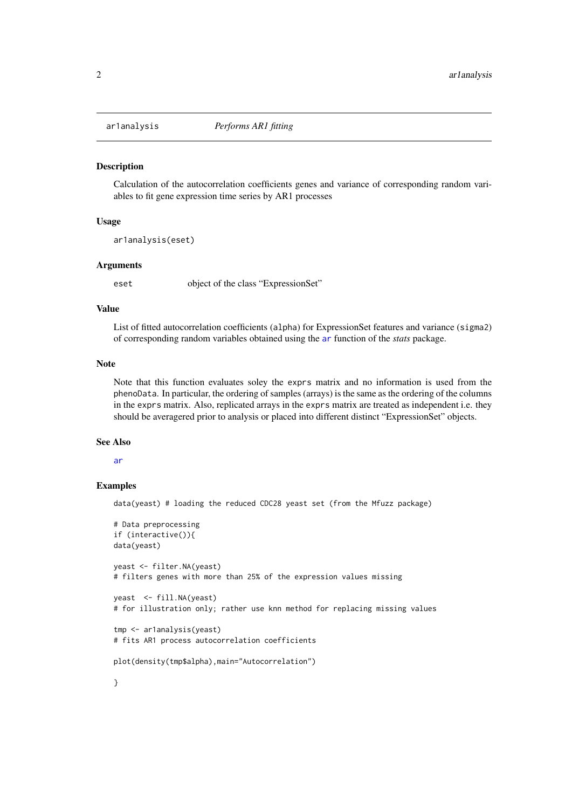<span id="page-1-0"></span>

#### Description

Calculation of the autocorrelation coefficients genes and variance of corresponding random variables to fit gene expression time series by AR1 processes

#### Usage

```
ar1analysis(eset)
```
#### Arguments

eset object of the class "ExpressionSet"

#### Value

List of fitted autocorrelation coefficients (alpha) for ExpressionSet features and variance (sigma2) of corresponding random variables obtained using the [ar](#page-0-0) function of the *stats* package.

#### Note

Note that this function evaluates soley the exprs matrix and no information is used from the phenoData. In particular, the ordering of samples (arrays) is the same as the ordering of the columns in the exprs matrix. Also, replicated arrays in the exprs matrix are treated as independent i.e. they should be averagered prior to analysis or placed into different distinct "ExpressionSet" objects.

#### See Also

#### [ar](#page-0-0)

#### Examples

data(yeast) # loading the reduced CDC28 yeast set (from the Mfuzz package)

```
# Data preprocessing
if (interactive()){
data(yeast)
yeast <- filter.NA(yeast)
# filters genes with more than 25% of the expression values missing
yeast <- fill.NA(yeast)
# for illustration only; rather use knn method for replacing missing values
tmp <- ar1analysis(yeast)
# fits AR1 process autocorrelation coefficients
```

```
plot(density(tmp$alpha),main="Autocorrelation")
```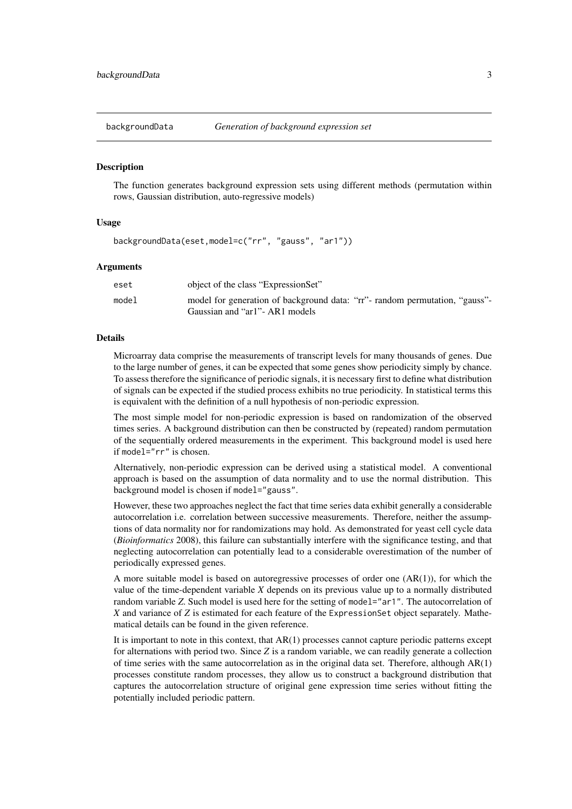<span id="page-2-0"></span>

#### **Description**

The function generates background expression sets using different methods (permutation within rows, Gaussian distribution, auto-regressive models)

#### Usage

```
backgroundData(eset,model=c("rr", "gauss", "ar1"))
```
#### Arguments

| eset  | object of the class "ExpressionSet"                                                                            |
|-------|----------------------------------------------------------------------------------------------------------------|
| model | model for generation of background data: "rr"- random permutation, "gauss"-<br>Gaussian and "ar1" - AR1 models |

#### Details

Microarray data comprise the measurements of transcript levels for many thousands of genes. Due to the large number of genes, it can be expected that some genes show periodicity simply by chance. To assess therefore the significance of periodic signals, it is necessary first to define what distribution of signals can be expected if the studied process exhibits no true periodicity. In statistical terms this is equivalent with the definition of a null hypothesis of non-periodic expression.

The most simple model for non-periodic expression is based on randomization of the observed times series. A background distribution can then be constructed by (repeated) random permutation of the sequentially ordered measurements in the experiment. This background model is used here if model="rr" is chosen.

Alternatively, non-periodic expression can be derived using a statistical model. A conventional approach is based on the assumption of data normality and to use the normal distribution. This background model is chosen if model="gauss".

However, these two approaches neglect the fact that time series data exhibit generally a considerable autocorrelation i.e. correlation between successive measurements. Therefore, neither the assumptions of data normality nor for randomizations may hold. As demonstrated for yeast cell cycle data (*Bioinformatics* 2008), this failure can substantially interfere with the significance testing, and that neglecting autocorrelation can potentially lead to a considerable overestimation of the number of periodically expressed genes.

A more suitable model is based on autoregressive processes of order one  $(AR(1))$ , for which the value of the time-dependent variable *X* depends on its previous value up to a normally distributed random variable *Z*. Such model is used here for the setting of model="ar1". The autocorrelation of *X* and variance of *Z* is estimated for each feature of the ExpressionSet object separately. Mathematical details can be found in the given reference.

It is important to note in this context, that  $AR(1)$  processes cannot capture periodic patterns except for alternations with period two. Since *Z* is a random variable, we can readily generate a collection of time series with the same autocorrelation as in the original data set. Therefore, although  $AR(1)$ processes constitute random processes, they allow us to construct a background distribution that captures the autocorrelation structure of original gene expression time series without fitting the potentially included periodic pattern.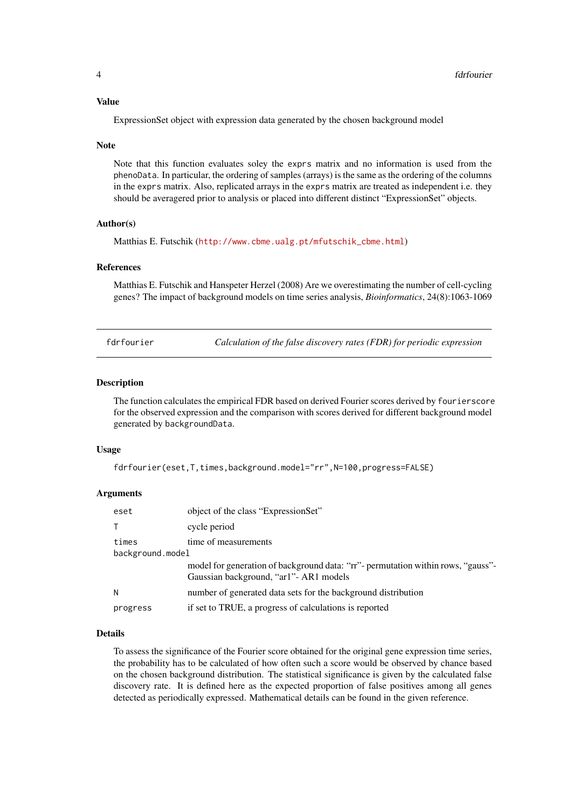#### <span id="page-3-0"></span>Value

ExpressionSet object with expression data generated by the chosen background model

#### Note

Note that this function evaluates soley the exprs matrix and no information is used from the phenoData. In particular, the ordering of samples (arrays) is the same as the ordering of the columns in the exprs matrix. Also, replicated arrays in the exprs matrix are treated as independent i.e. they should be averagered prior to analysis or placed into different distinct "ExpressionSet" objects.

#### Author(s)

Matthias E. Futschik ([http://www.cbme.ualg.pt/mfutschik\\_cbme.html](http://www.cbme.ualg.pt/mfutschik_cbme.html))

#### References

Matthias E. Futschik and Hanspeter Herzel (2008) Are we overestimating the number of cell-cycling genes? The impact of background models on time series analysis, *Bioinformatics*, 24(8):1063-1069

fdrfourier *Calculation of the false discovery rates (FDR) for periodic expression*

#### Description

The function calculates the empirical FDR based on derived Fourier scores derived by fourierscore for the observed expression and the comparison with scores derived for different background model generated by backgroundData.

#### Usage

```
fdrfourier(eset,T,times,background.model="rr",N=100,progress=FALSE)
```
#### Arguments

| eset             | object of the class "ExpressionSet"                                                                                         |  |
|------------------|-----------------------------------------------------------------------------------------------------------------------------|--|
| $\top$           | cycle period                                                                                                                |  |
| times            | time of measurements                                                                                                        |  |
| background.model |                                                                                                                             |  |
|                  | model for generation of background data: "rr"- permutation within rows, "gauss"-<br>Gaussian background, "ar1" - AR1 models |  |
| N                | number of generated data sets for the background distribution                                                               |  |
| progress         | if set to TRUE, a progress of calculations is reported                                                                      |  |

#### Details

To assess the significance of the Fourier score obtained for the original gene expression time series, the probability has to be calculated of how often such a score would be observed by chance based on the chosen background distribution. The statistical significance is given by the calculated false discovery rate. It is defined here as the expected proportion of false positives among all genes detected as periodically expressed. Mathematical details can be found in the given reference.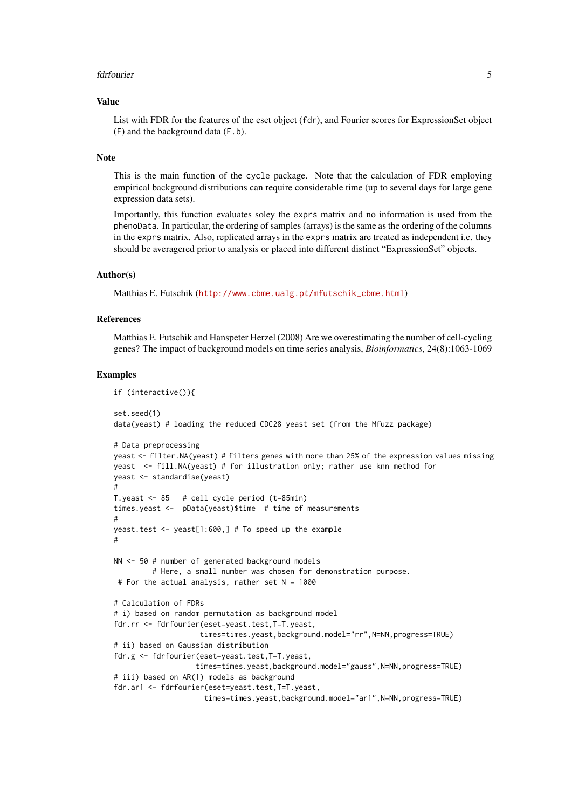#### fdrfourier 50 to 1999 and 1999 and 1999 and 1999 and 1999 and 1999 and 1999 and 1999 and 1999 and 1999 and 199

#### Value

List with FDR for the features of the eset object (fdr), and Fourier scores for ExpressionSet object (F) and the background data (F.b).

#### Note

This is the main function of the cycle package. Note that the calculation of FDR employing empirical background distributions can require considerable time (up to several days for large gene expression data sets).

Importantly, this function evaluates soley the exprs matrix and no information is used from the phenoData. In particular, the ordering of samples (arrays) is the same as the ordering of the columns in the exprs matrix. Also, replicated arrays in the exprs matrix are treated as independent i.e. they should be averagered prior to analysis or placed into different distinct "ExpressionSet" objects.

#### Author(s)

Matthias E. Futschik ([http://www.cbme.ualg.pt/mfutschik\\_cbme.html](http://www.cbme.ualg.pt/mfutschik_cbme.html))

#### References

Matthias E. Futschik and Hanspeter Herzel (2008) Are we overestimating the number of cell-cycling genes? The impact of background models on time series analysis, *Bioinformatics*, 24(8):1063-1069

#### Examples

```
if (interactive()){
set.seed(1)
data(yeast) # loading the reduced CDC28 yeast set (from the Mfuzz package)
# Data preprocessing
yeast <- filter.NA(yeast) # filters genes with more than 25% of the expression values missing
yeast <- fill.NA(yeast) # for illustration only; rather use knn method for
yeast <- standardise(yeast)
#
T.yeast <- 85 # cell cycle period (t=85min)
times.yeast <- pData(yeast)$time # time of measurements
#
yeast.test <- yeast[1:600,] # To speed up the example
#
NN <- 50 # number of generated background models
         # Here, a small number was chosen for demonstration purpose.
 # For the actual analysis, rather set N = 1000
# Calculation of FDRs
# i) based on random permutation as background model
fdr.rr <- fdrfourier(eset=yeast.test,T=T.yeast,
                    times=times.yeast,background.model="rr",N=NN,progress=TRUE)
# ii) based on Gaussian distribution
fdr.g <- fdrfourier(eset=yeast.test,T=T.yeast,
                   times=times.yeast,background.model="gauss",N=NN,progress=TRUE)
# iii) based on AR(1) models as background
fdr.ar1 <- fdrfourier(eset=yeast.test,T=T.yeast,
                     times=times.yeast,background.model="ar1",N=NN,progress=TRUE)
```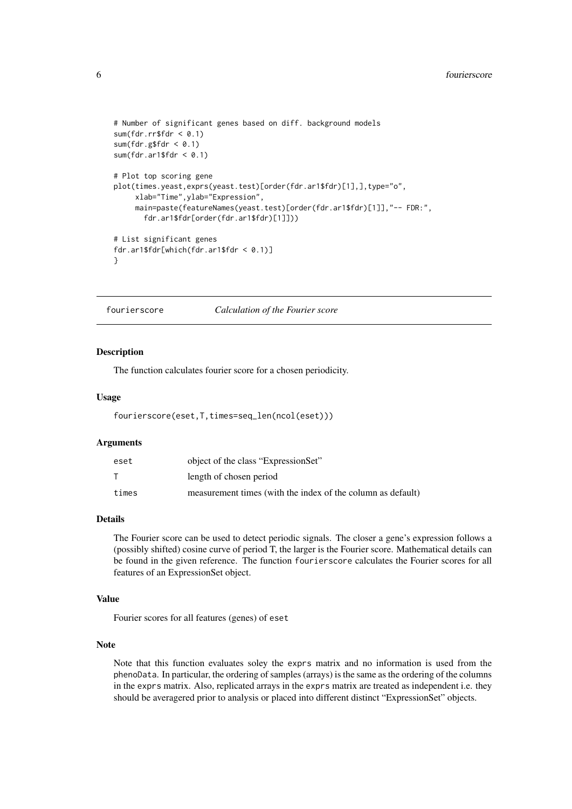```
# Number of significant genes based on diff. background models
sum(fdr.rr$fdr < 0.1)sum(fdr.g$fdr < 0.1)
sum(fdr .ar1$fdr < 0.1)
# Plot top scoring gene
plot(times.yeast,exprs(yeast.test)[order(fdr.ar1$fdr)[1],],type="o",
     xlab="Time",ylab="Expression",
     main=paste(featureNames(yeast.test)[order(fdr.ar1$fdr)[1]],"-- FDR:",
       fdr.ar1$fdr[order(fdr.ar1$fdr)[1]]))
# List significant genes
fdr.ar1$fdr[which(fdr.ar1$fdr < 0.1)]
}
```
fourierscore *Calculation of the Fourier score*

#### Description

The function calculates fourier score for a chosen periodicity.

#### Usage

```
fourierscore(eset,T,times=seq_len(ncol(eset)))
```
#### Arguments

| eset  | object of the class "ExpressionSet"                         |
|-------|-------------------------------------------------------------|
|       | length of chosen period                                     |
| times | measurement times (with the index of the column as default) |

#### Details

The Fourier score can be used to detect periodic signals. The closer a gene's expression follows a (possibly shifted) cosine curve of period T, the larger is the Fourier score. Mathematical details can be found in the given reference. The function fourierscore calculates the Fourier scores for all features of an ExpressionSet object.

#### Value

Fourier scores for all features (genes) of eset

#### Note

Note that this function evaluates soley the exprs matrix and no information is used from the phenoData. In particular, the ordering of samples (arrays) is the same as the ordering of the columns in the exprs matrix. Also, replicated arrays in the exprs matrix are treated as independent i.e. they should be averagered prior to analysis or placed into different distinct "ExpressionSet" objects.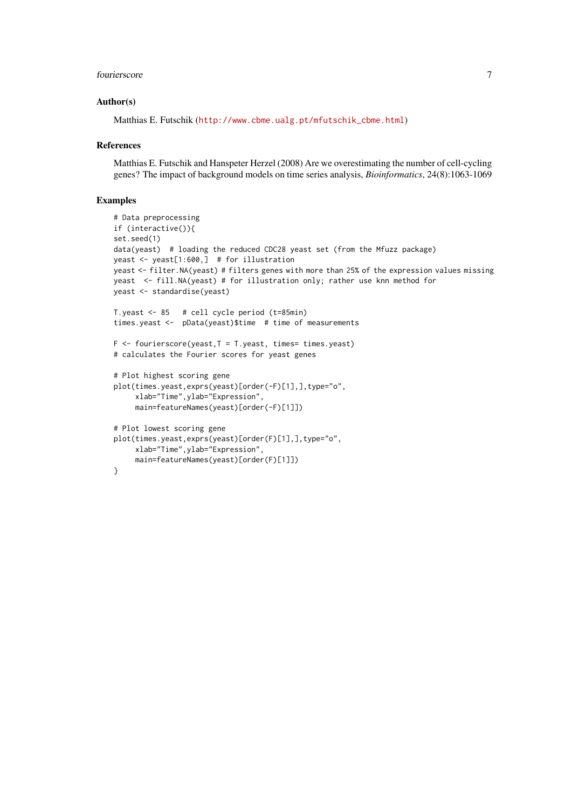#### fourierscore 7

#### Author(s)

Matthias E. Futschik ([http://www.cbme.ualg.pt/mfutschik\\_cbme.html](http://www.cbme.ualg.pt/mfutschik_cbme.html))

#### References

Matthias E. Futschik and Hanspeter Herzel (2008) Are we overestimating the number of cell-cycling genes? The impact of background models on time series analysis, *Bioinformatics*, 24(8):1063-1069

#### Examples

```
# Data preprocessing
if (interactive()){
set.seed(1)
data(yeast) # loading the reduced CDC28 yeast set (from the Mfuzz package)
yeast <- yeast[1:600,] # for illustration
yeast <- filter.NA(yeast) # filters genes with more than 25% of the expression values missing
yeast <- fill.NA(yeast) # for illustration only; rather use knn method for
yeast <- standardise(yeast)
T.yeast <- 85 # cell cycle period (t=85min)
times.yeast <- pData(yeast)$time # time of measurements
F \leftarrow fourierscore(yeast, T = T. yeast, times= times. yeast)
# calculates the Fourier scores for yeast genes
# Plot highest scoring gene
plot(times.yeast,exprs(yeast)[order(-F)[1],],type="o",
     xlab="Time",ylab="Expression",
     main=featureNames(yeast)[order(-F)[1]])
# Plot lowest scoring gene
plot(times.yeast,exprs(yeast)[order(F)[1],],type="o",
     xlab="Time",ylab="Expression",
     main=featureNames(yeast)[order(F)[1]])
}
```